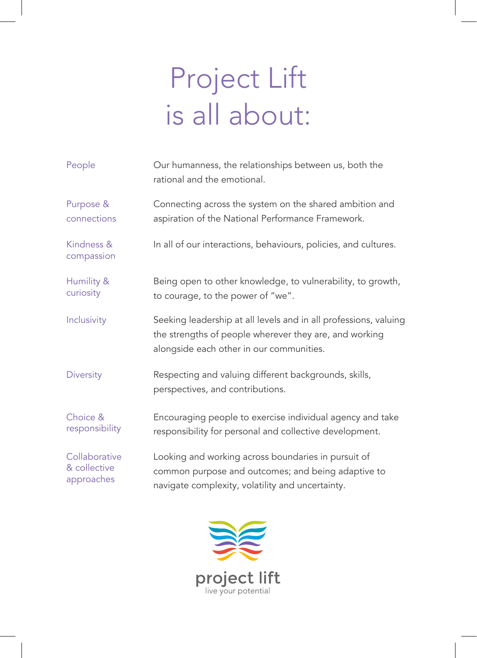## Project Lift is all about:

| People                   | Our humanness, the relationships between us, both the<br>rational and the emotional.                                                                                   |
|--------------------------|------------------------------------------------------------------------------------------------------------------------------------------------------------------------|
| Purpose &                | Connecting across the system on the shared ambition and                                                                                                                |
| connections              | aspiration of the National Performance Framework.                                                                                                                      |
| Kindness &<br>compassion | In all of our interactions, behaviours, policies, and cultures.                                                                                                        |
| Humility &               | Being open to other knowledge, to vulnerability, to growth,                                                                                                            |
| curiosity                | to courage, to the power of "we".                                                                                                                                      |
| Inclusivity              | Seeking leadership at all levels and in all professions, valuing<br>the strengths of people wherever they are, and working<br>alongside each other in our communities. |
| <b>Diversity</b>         | Respecting and valuing different backgrounds, skills,<br>perspectives, and contributions.                                                                              |
| Choice &                 | Encouraging people to exercise individual agency and take                                                                                                              |
| responsibility           | responsibility for personal and collective development.                                                                                                                |
| Collaborative            | Looking and working across boundaries in pursuit of                                                                                                                    |
| & collective             | common purpose and outcomes; and being adaptive to                                                                                                                     |
| approaches               | navigate complexity, volatility and uncertainty.                                                                                                                       |